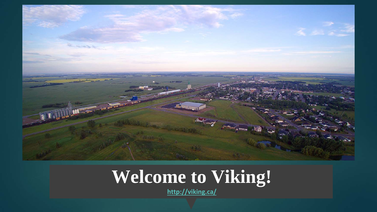

### **Welcome to Viking!**

**<http://viking.ca/>**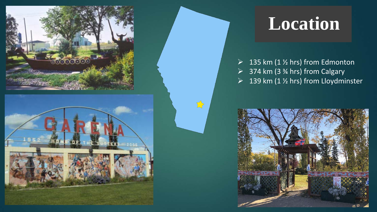



#### **Location**

 $\triangleright$  135 km (1 % hrs) from Edmonton  $\geq$  374 km (3 % hrs) from Calgary  $\triangleright$  139 km (1 % hrs) from Lloydminster

 $\sum$ 

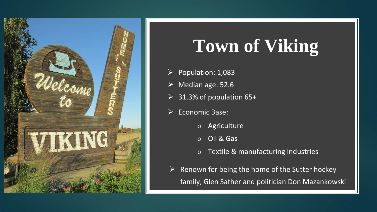

# **Town of Viking**

- $\triangleright$  Population: 1,083
- $\triangleright$  Median age: 52.6
- $\geq$  31.3% of population 65+
- $\triangleright$  Economic Base:
	- o Agriculture
	- o Oil & Gas
	- o Textile & manufacturing industries
- $\triangleright$  Renown for being the home of the Sutter hockey family, Glen Sather and politician Don Mazankowski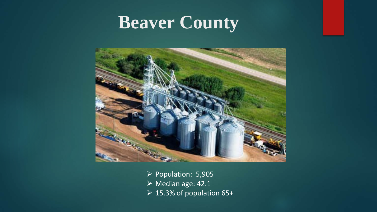#### **Beaver County**



- Population: 5,905
- Median age: 42.1
- 15.3% of population 65+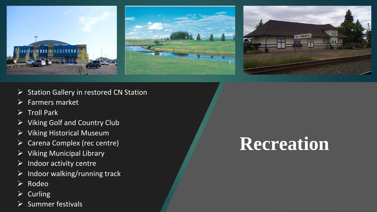





- $\triangleright$  Station Gallery in restored CN Station
- $\triangleright$  Farmers market
- $\triangleright$  Troll Park
- $\triangleright$  Viking Golf and Country Club
- $\triangleright$  Viking Historical Museum
- Carena Complex (rec centre)
- Viking Municipal Library
- $\triangleright$  Indoor activity centre
- $\triangleright$  Indoor walking/running track
- $\triangleright$  Rodeo
- $\triangleright$  Curling
- Summer festivals

# **Recreation**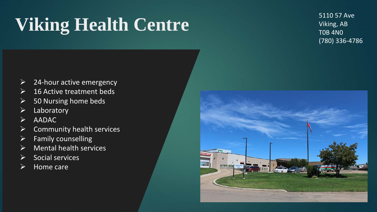# **Viking Health Centre**

5110 57 Ave Viking, AB T0B 4N0 (780) 336-4786

- $\triangleright$  24-hour active emergency
- $\triangleright$  16 Active treatment beds
- $\triangleright$  50 Nursing home beds
- $\triangleright$  Laboratory
- $\triangleright$  AADAC
- $\triangleright$  Community health services
- $\triangleright$  Family counselling
- $\triangleright$  Mental health services
- $\triangleright$  Social services
- $\triangleright$  Home care